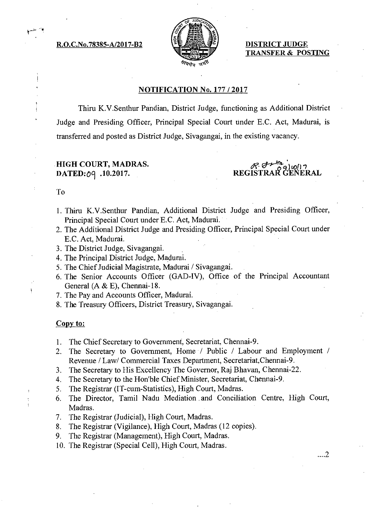R.O.C.No.78385-A/2017-B2  $\left\{ \frac{1}{2} \right\}$  DISTRICT JUDGE



TRANSFER & POSTING

#### NOTIFICATION No. 177/ 2017

Thiru K.V.Senthur Pandian, District Judge, functioning as Additional District Judge and Presiding Officer, Principal Special Court under E.C. Act, Madurai, is transferred and posted as District Judge, Sivagangai, in the existing vacancy.

## HIGH COURT, MADRAS. DATED:09 .10.2017.

REGISTRAR GENERAL

...2

#### To

- 1. Thiru K.V.Senthur Pandian, Additional District Judge and Presiding Officer, Principal Special Court under E.C. Act, Madurai.
- 2. The Additional District Judge and Presiding Officer, Principal Special Court under E.C. Act, Madurai.
- 3. The District Judge, Sivagangai.
- 4. The Principal District Judge, Madurai.
- 5. The Chief Judicial Magistrate, Madurai / Sivagangai.
- 6. The Senior Accounts Officer (GAD-IV), Office of the Principal Accountant General (A & E), Chennai-18.
- 7. The Pay and Accounts Officer, Madurai.
- 8. The Treasury Officers, District Treasury, Sivagangai.

#### Copy to:

- 1. The Chief Secretary to Government, Secretariat, Chennai-9.
- 2. The Secretary to Government, Home / Public / Labour and Employment / Revenue / Law/ Commercial Taxes Department, Secretariat,Chennai-9.
- 3. The Secretary to His Excellency The Governor, Raj Bhavan, Chennai-22.
- 4. The Secretary to the Hon'ble Chief Minister, Secretariat, Chennai-9.
- 5. The Registrar (IT-cum-Statistics), High Court, Madras.
- 6. The Director, Tamil Nadu Mediation and Conciliation Centre, High Court, Madras.
- 7. The Registrar (Judicial), High Court, Madras.
- 8. The Registrar (Vigilance), High Court, Madras (12 copies).
- 9. The Registrar (Management), High Court, Madras.
- 10. The Registrar (Special Cell), High Court, Madras.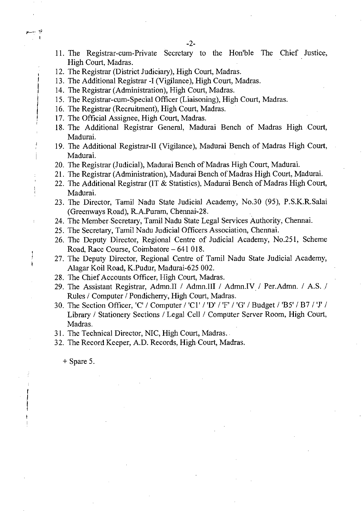- 11. The Registrar-cum-Private Secretary to the Hon'ble The Chief Justice, High Court, Madras.
- 12. The Registrar (District Judiciary), High Court, Madras.
- 13. The Additional Registrar -I (Vigilance), High Court, Madras.
- 14. The Registrar (Administration), High Court, Madras.
- 15. The Registrar-cum-Special Officer (Liaisoning), High Court, Madras.
- 16. The Registrar (Recruitment), High Court, Madras.
- 17. The Official Assignee, High Court, Madras.
- 18. The Additional Registrar General, Madurai Bench of Madras High Court, Madurai.
- 19. The Additional Registrar-II (Vigilance), Madurai Bench of Madras High Court, Madurai.
- 20. The Registrar (Judicial), Madurai Bench of Madras High Court, Madurai.
- 21. The Registrar (Administration), Madurai Bench of Madras High Court, Madurai.
- 22. The Additional Registrar (IT & Statistics), Madurai Bench of Madras High Court, Madurai.
- 23. The Director, Tamil Nadu State Judicial Academy, No.30 (95), P.S.K.R.Salai (Greenways Road), R.A.Puram, Chennai-28.
- 24. The Member Secretary, Tamil Nadu State Legal Services Authority, Chennai.
- 25. The Secretary, Tamil Nadu Judicial Officers Association, Chennai.
- 26. The Deputy Director, Regional Centre of Judicial Academy, No.251, Scheme Road, Race Course, Coimbatore —641 018.
- 27. The Deputy Director, Regional Centre of Tamil Nadu State Judicial Academy, Alagar Koil Road, K.Pudur, Madurai-625 002.
- 28. The Chief Accounts Officer, High Court, Madras.
- 29. The Assistant Registrar, Admn.II / Admn.III / Admn.IV / Per.Admn. / A.S. / Rules / Computer / Pondicherry, High Court, Madras.
- 30. The Section Officer, 'C' / Computer / 'Cl' / 'D' / 'F' / 'G' / Budget / 'B5' / B7 / 'J' / Library / Stationery Sections / Legal Cell / Computer Server Room, High Court, Madras.
- 31. The Technical Director, NIC, High Court, Madras.
- 32. The Record Keeper, A.D. Records, High Court, Madras.

+ Spare 5.

 $\frac{1}{4}$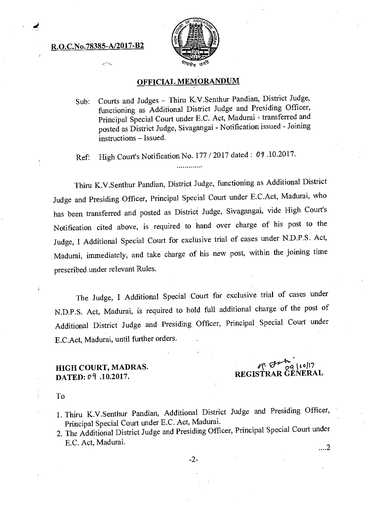## R.O.C.No.78385-A/2017-B2



# OFFICIAL MEMORANDUM

Sub: Courts and Judges — Thiru K.V.Senthur Pandian, District Judge, functioning as Additional District Judge and Presiding Officer, Principal Special Court under E.C. Act, Madurai - transferred and posted as District Judge, Sivagangai - Notification issued - Joining instructions — Issued.

Ref: High Court's Notification No. 177 / 2017 dated: 09 .10.2017. .............

Thiru K.V.Senthur Pandian, District Judge, functioning as Additional District Judge and Presiding Officer, Principal Special Court under E.C.Act, Madurai, who has been transferred and posted as District Judge, Sivagangai, vide High Court's Notification cited above, is required to hand over charge of his post to the Judge, I Additional Special Court for exclusive trial of cases under N.D.P.S. Act, Madurai, immediately, and take charge of his new post, within the joining time prescribed under relevant Rules.

The Judge, I Additional Special Court for exclusive trial of cases under N.D.P.S. Act, Madurai, is required to hold full additional charge of the post of Additional District Judge and Presiding Officer, Principal Special Court under E.C.Act, Madurai, until further orders.

### HIGH COURT, MADRAS. DATED: 09 .10.2017.

**ist efritet tic/** i7 REGISTRAR GENERAL

To

j.

- 1. Thiru K.V.Senthur Pandian, Additional District Judge and Presiding Officer, Principal Special Court under E.C. Act, Madurai.
- 2. The Additional District Judge and Presiding Officer, Principal Special Court under E.C. Act, Madurai. ...2

-2-